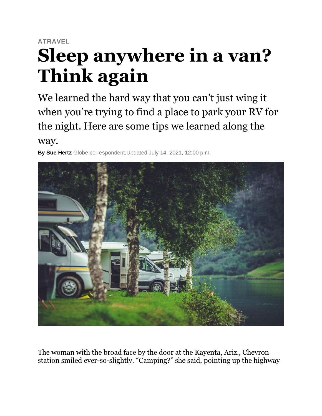# **ATRAVEL Sleep anywhere in a van? Think again**

We learned the hard way that you can't just wing it when you're trying to find a place to park your RV for the night. Here are some tips we learned along the

way.

**By Sue Hertz** Globe correspondent,Updated July 14, 2021, 12:00 p.m.



The woman with the broad face by the door at the Kayenta, Ariz., Chevron station smiled ever-so-slightly. "Camping?" she said, pointing up the highway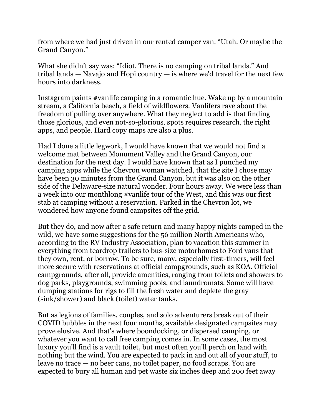from where we had just driven in our rented camper van. "Utah. Or maybe the Grand Canyon."

What she didn't say was: "Idiot. There is no camping on tribal lands." And tribal lands — Navajo and Hopi country — is where we'd travel for the next few hours into darkness.

Instagram paints #vanlife camping in a romantic hue. Wake up by a mountain stream, a California beach, a field of wildflowers. Vanlifers rave about the freedom of pulling over anywhere. What they neglect to add is that finding those glorious, and even not-so-glorious, spots requires research, the right apps, and people. Hard copy maps are also a plus.

Had I done a little legwork, I would have known that we would not find a welcome mat between Monument Valley and the Grand Canyon, our destination for the next day. I would have known that as I punched my camping apps while the Chevron woman watched, that the site I chose may have been 30 minutes from the Grand Canyon, but it was also on the other side of the Delaware-size natural wonder. Four hours away. We were less than a week into our monthlong #vanlife tour of the West, and this was our first stab at camping without a reservation. Parked in the Chevron lot, we wondered how anyone found campsites off the grid.

But they do, and now after a safe return and many happy nights camped in the wild, we have some suggestions for the 56 million North Americans who, according to the RV Industry Association, plan to vacation this summer in everything from teardrop trailers to bus-size motorhomes to Ford vans that they own, rent, or borrow. To be sure, many, especially first-timers, will feel more secure with reservations at official campgrounds, such as KOA. Official campgrounds, after all, provide amenities, ranging from toilets and showers to dog parks, playgrounds, swimming pools, and laundromats. Some will have dumping stations for rigs to fill the fresh water and deplete the gray (sink/shower) and black (toilet) water tanks.

But as legions of families, couples, and solo adventurers break out of their COVID bubbles in the next four months, available designated campsites may prove elusive. And that's where boondocking, or dispersed camping, or whatever you want to call free camping comes in. In some cases, the most luxury you'll find is a vault toilet, but most often you'll perch on land with nothing but the wind. You are expected to pack in and out all of your stuff, to leave no trace — no beer cans, no toilet paper, no food scraps. You are expected to bury all human and pet waste six inches deep and 200 feet away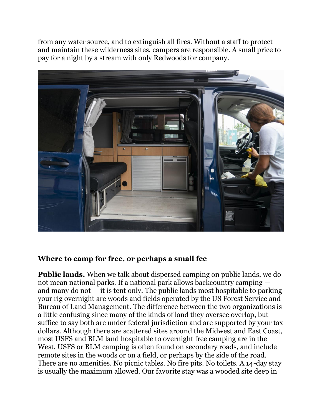from any water source, and to extinguish all fires. Without a staff to protect and maintain these wilderness sites, campers are responsible. A small price to pay for a night by a stream with only Redwoods for company.



#### **Where to camp for free, or perhaps a small fee**

**Public lands.** When we talk about dispersed camping on public lands, we do not mean national parks. If a national park allows backcountry camping and many do not  $-$  it is tent only. The public lands most hospitable to parking your rig overnight are woods and fields operated by the US Forest Service and Bureau of Land Management. The difference between the two organizations is a little confusing since many of the kinds of land they oversee overlap, but suffice to say both are under federal jurisdiction and are supported by your tax dollars. Although there are scattered sites around the Midwest and East Coast, most USFS and BLM land hospitable to overnight free camping are in the West. USFS or BLM camping is often found on secondary roads, and include remote sites in the woods or on a field, or perhaps by the side of the road. There are no amenities. No picnic tables. No fire pits. No toilets. A 14-day stay is usually the maximum allowed. Our favorite stay was a wooded site deep in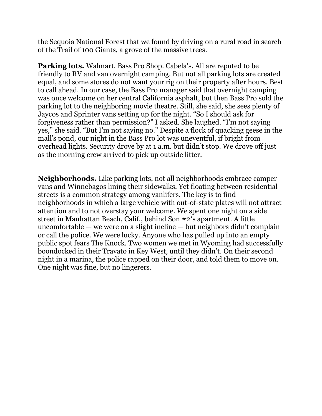the Sequoia National Forest that we found by driving on a rural road in search of the Trail of 100 Giants, a grove of the massive trees.

**Parking lots.** Walmart. Bass Pro Shop. Cabela's. All are reputed to be friendly to RV and van overnight camping. But not all parking lots are created equal, and some stores do not want your rig on their property after hours. Best to call ahead. In our case, the Bass Pro manager said that overnight camping was once welcome on her central California asphalt, but then Bass Pro sold the parking lot to the neighboring movie theatre. Still, she said, she sees plenty of Jaycos and Sprinter vans setting up for the night. "So I should ask for forgiveness rather than permission?" I asked. She laughed. "I'm not saying yes," she said. "But I'm not saying no." Despite a flock of quacking geese in the mall's pond, our night in the Bass Pro lot was uneventful, if bright from overhead lights. Security drove by at 1 a.m. but didn't stop. We drove off just as the morning crew arrived to pick up outside litter.

**Neighborhoods.** Like parking lots, not all neighborhoods embrace camper vans and Winnebagos lining their sidewalks. Yet floating between residential streets is a common strategy among vanlifers. The key is to find neighborhoods in which a large vehicle with out-of-state plates will not attract attention and to not overstay your welcome. We spent one night on a side street in Manhattan Beach, Calif., behind Son #2′s apartment. A little uncomfortable — we were on a slight incline — but neighbors didn't complain or call the police. We were lucky. Anyone who has pulled up into an empty public spot fears The Knock. Two women we met in Wyoming had successfully boondocked in their Travato in Key West, until they didn't. On their second night in a marina, the police rapped on their door, and told them to move on. One night was fine, but no lingerers.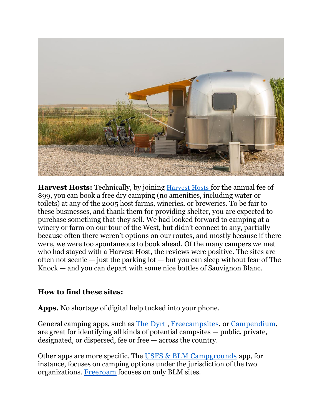

**Harvest Hosts:** Technically, by joining [Harvest Hosts](https://harvesthosts.com/) for the annual fee of \$99, you can book a free dry camping (no amenities, including water or toilets) at any of the 2005 host farms, wineries, or breweries. To be fair to these businesses, and thank them for providing shelter, you are expected to purchase something that they sell. We had looked forward to camping at a winery or farm on our tour of the West, but didn't connect to any, partially because often there weren't options on our routes, and mostly because if there were, we were too spontaneous to book ahead. Of the many campers we met who had stayed with a Harvest Host, the reviews were positive. The sites are often not scenic  $-$  just the parking lot  $-$  but you can sleep without fear of The Knock — and you can depart with some nice bottles of Sauvignon Blanc.

### **How to find these sites:**

**Apps.** No shortage of digital help tucked into your phone.

General camping apps, such as [The Dyrt](https://thedyrt.com/) , [Freecampsites,](https://freecampsites.net/how-to-find-more-sites/) or [Campendium,](https://www.campendium.com/) are great for identifying all kinds of potential campsites — public, private, designated, or dispersed, fee or free — across the country.

Other apps are more specific. The [USFS & BLM Campgrounds](https://apps.apple.com/us/app/usfs-blm-campgrounds/id654806302) app, for instance, focuses on camping options under the jurisdiction of the two organizations. [Freeroam](https://freeroam.app/?gclid=CjwKCAjwn6GGBhADEiwAruUcKjRP2341orqpKYIaKWXCjmIkXIQvVdSSHM0Zp9kEIxx-EMMMii0gDRoCmZAQAvD_BwE) focuses on only BLM sites.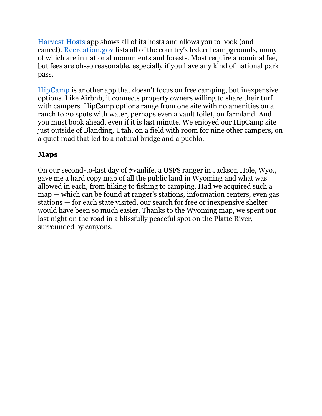[Harvest Hosts](https://harvesthosts.com/) app shows all of its hosts and allows you to book (and cancel). [Recreation.gov](https://www.recreation.gov/) lists all of the country's federal campgrounds, many of which are in national monuments and forests. Most require a nominal fee, but fees are oh-so reasonable, especially if you have any kind of national park pass.

[HipCamp](https://www.hipcamp.com/en-US) is another app that doesn't focus on free camping, but inexpensive options. Like Airbnb, it connects property owners willing to share their turf with campers. HipCamp options range from one site with no amenities on a ranch to 20 spots with water, perhaps even a vault toilet, on farmland. And you must book ahead, even if it is last minute. We enjoyed our HipCamp site just outside of Blanding, Utah, on a field with room for nine other campers, on a quiet road that led to a natural bridge and a pueblo.

## **Maps**

On our second-to-last day of #vanlife, a USFS ranger in Jackson Hole, Wyo., gave me a hard copy map of all the public land in Wyoming and what was allowed in each, from hiking to fishing to camping. Had we acquired such a map — which can be found at ranger's stations, information centers, even gas stations — for each state visited, our search for free or inexpensive shelter would have been so much easier. Thanks to the Wyoming map, we spent our last night on the road in a blissfully peaceful spot on the Platte River, surrounded by canyons.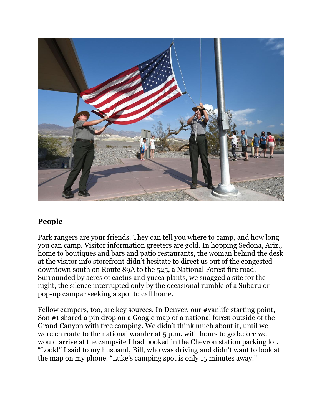

### **People**

Park rangers are your friends. They can tell you where to camp, and how long you can camp. Visitor information greeters are gold. In hopping Sedona, Ariz., home to boutiques and bars and patio restaurants, the woman behind the desk at the visitor info storefront didn't hesitate to direct us out of the congested downtown south on Route 89A to the 525, a National Forest fire road. Surrounded by acres of cactus and yucca plants, we snagged a site for the night, the silence interrupted only by the occasional rumble of a Subaru or pop-up camper seeking a spot to call home.

Fellow campers, too, are key sources. In Denver, our #vanlife starting point, Son #1 shared a pin drop on a Google map of a national forest outside of the Grand Canyon with free camping. We didn't think much about it, until we were en route to the national wonder at 5 p.m. with hours to go before we would arrive at the campsite I had booked in the Chevron station parking lot. "Look!" I said to my husband, Bill, who was driving and didn't want to look at the map on my phone. "Luke's camping spot is only 15 minutes away."